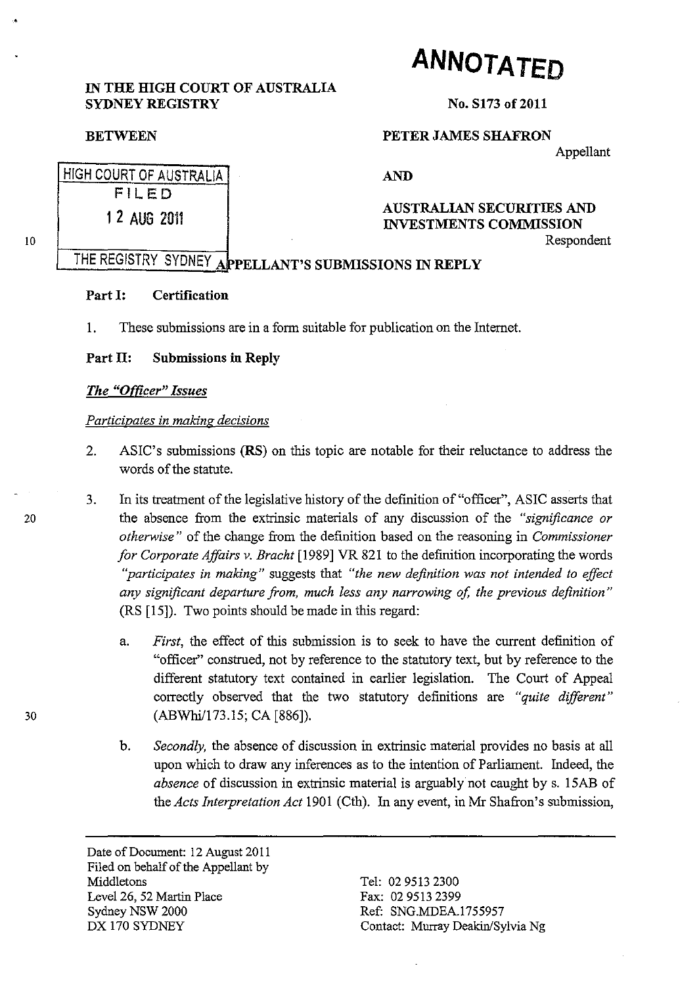# IN THE HIGH COURT OF AUSTRALIA **ANNOTATED**

SYDNEY REGISTRY

#### **BETWEEN**

HIGH COURT OF AUSTRALIA FILED

1 2 AUG 2011

#### No. S173 of 2011

## PETER JAMES SHAFRON

Appellant

AND

#### AUSTRALIAN SECURITIES AND INVESTMENTS COMMISSION Respondent

# THE REGISTRY SYDNEY APPELLANT'S SUBMISSIONS IN REPLY

#### Part I: Certification

1. These submissions are in a form suitable for publication on the Internet.

### Part II: Submissions in Reply

#### *The "Offlcer" Issues*

#### *Participates in making decisions*

- 2. ASIC's submissions (RS) on this topic are notable for their reluctance to address the words of the statute.
- 3. In its treatment of the legislative history of the definition of "officer", ASIC asserts that 20 the absence from the extrinsic materials of any discussion of the *"significance or otherwise"* of the change from the deftnition based on the reasoning in *Commissioner for Corporate Affairs v. Bracht* [1989] VR 821 to the definition incorporating the words *"participates in making"* suggests that *"the new definition was not intended to effect any significant departure from, much less any narrowing of, the previous definition"*  (RS [15]). Two points should be made in this regard:
- a. *First,* the effect of this submission is to seek to have the current definition of "officer" construed, not by reference to the statutory text, but by reference to the different statutory text contained in earlier legislation. The Court of Appeal correctly observed that the two statutory definitions are *"quite different"*  30 (ABWhi/173.l5; CA [886]).
	- b. *Secondly,* the absence of discussion in extrinsic material provides no basis at all upon which to draw any inferences as to the intention of Parliament. Indeed, the *absence* of discussion in extrinsic material is arguably not caught by s. 15AB of the *Acts Interpretation Act* 1901 (Cth). In any event, in Mr Shafron's submission,

Date of Document: 12 August 2011 Filed on behalf of the Appellant by Middletons Level 26, 52 Martin Place Sydney NSW 2000 DX 170 SYDNEY

Tel: 02 9513 2300 Fax: 02 9513 2399 Ref: SNG.MDEA.1755957 Contact: Murray Deakin/Sylvia Ng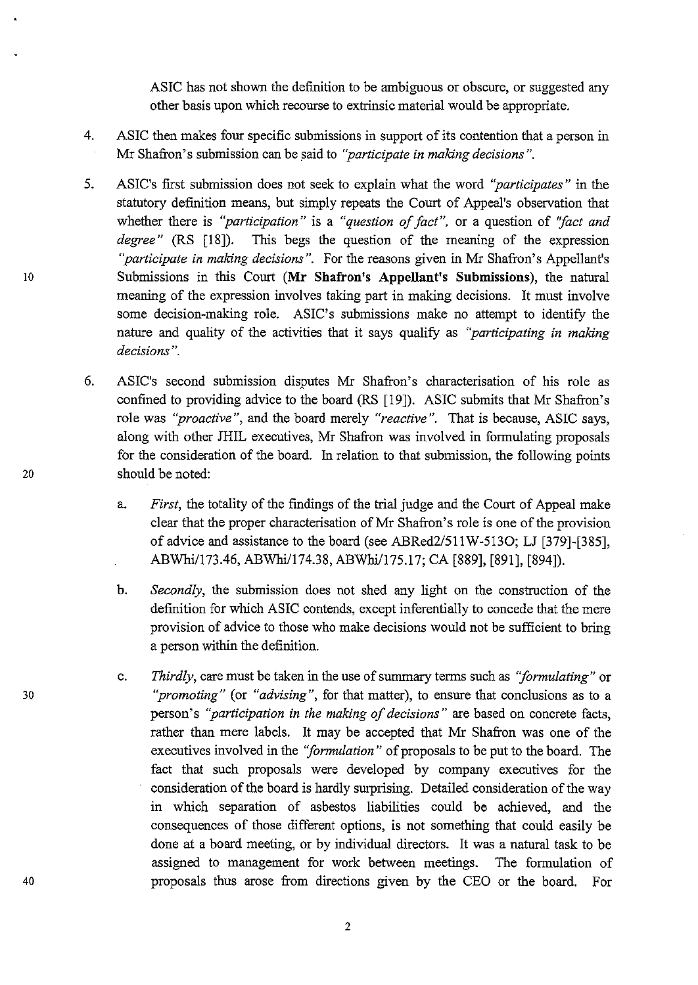ASIC has not shown the definition to be ambiguous or obscure, or suggested any other basis upon which recourse to extrinsic material would be appropriate.

- 4. ASIC then makes four specific submissions in support of its contention that a person in Mr Shafron's submission can be said to *"participate in making decisions* ".
- S. ASIC's first submission does not seek to explain what the word *''participates''* in the statutory definition means, but simply repeats the Court of Appeal's observation that whether there is *"participation"* is a *"question of fact* ", or a question of *"fact and degree"* (RS [18]). This begs the question of the meaning of the expression *"participate in making decisions".* For the reasons given in Mr Shafron's Appellant's Submissions in this Court **(Mr Shafron's Appellant's Submissions),** the natural meaning of the expression involves taking part in making decisions. It must involve some decision-making role. ASIC's submissions make no attempt to identify the nature and quality of the activities that it says qualify as *"participating in making decisions* ".
- 6. ASIC's second submission disputes Mr Shafron's characterisation of his role as confined to providing advice to the board (RS [19]). ASIC submits that Mr Shafron's role was *"proactive",* and the board merely *"reactive".* That is because, ASIC says, along with other JHIL executives, Mr Shafron was involved in formulating proposals for the consideration of the board. In relation to that submission, the following points should be noted:
	- a. *First,* the totality of the findings of the trial judge and the Court of Appeal make clear that the proper characterisation of Mr Shafron's role is one of the provision of advice and assistance to the board (see ABRed2/S11W-S130; LJ [379]-[38S], ABWhi/173.46, ABWhi/174.38, ABWhi/175.17; CA [889], [891], [894]).
	- b. *Secondly,* the submission does not shed any light on the construction of the definition for which ASIC contends, except inferentially to concede that the mere provision of advice to those who make decisions would not be sufficient to bring a person within the definition.
	- c. *Thirdly,* care must be taken in the use of summary terms such as *''formulating''* or *''promoting''* (or *"advising",* for that matter), to ensure that conclusions as to a person's *''participation in the making of decisions"* are based on concrete facts, rather than mere labels. It may be accepted that Mr Shafron was one of the executives involved in the *''formulation''* of proposals to be put to the board. The fact that such proposals were developed by company executives for the consideration of the board is hardly surprising. Detailed consideration of the way in which separation of asbestos liabilities could be achieved, and the consequences of those different options, is not something that could easily be done at a board meeting, or by individual directors. It was a natural task to be assigned to management for work between meetings. The formulation of proposals thus arose from directions given by the CEO or the board. For

10

20

30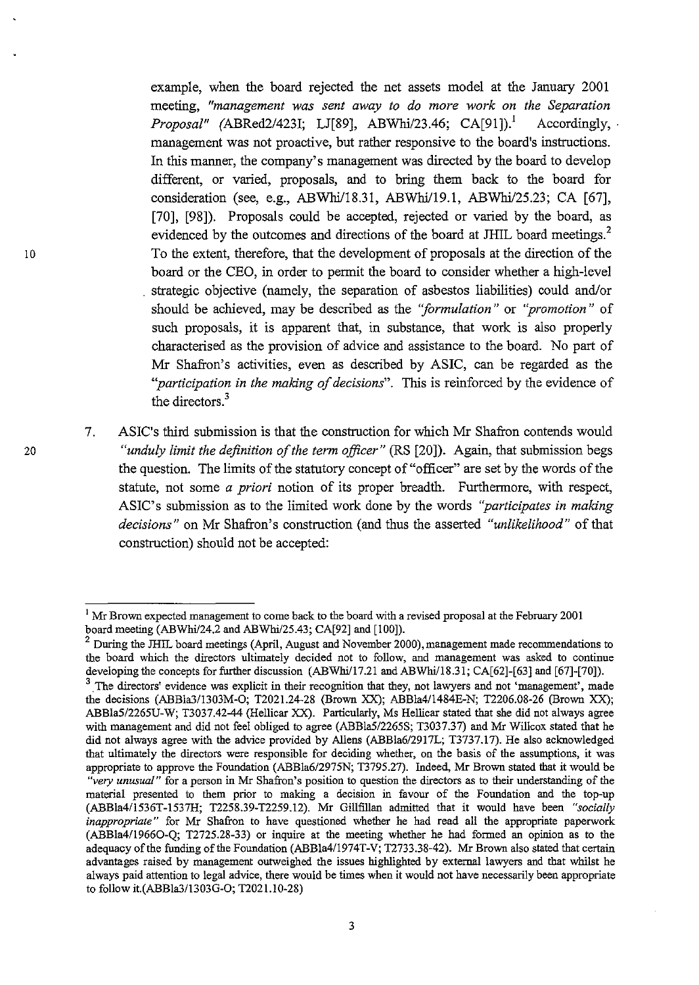example, when the board rejected the net assets model at the January 2001 meeting, *"management was sent away to do more work on the Separation Proposal"* (ABRed2/423I; LJ[89], ABWhi/23.46; CA[91]).! Accordingly, management was not proactive, but rather responsive to the board's instructions. In this manner, the company's management was directed by the board to develop different, or varied, proposals, and to bring them back to the board for consideration (see, e.g., ABWhi/18.31, ABWhi/19.1, ABWhi/2S.23; CA [67], [70], [98]). Proposals could be accepted, rejected or varied by the board, as evidenced by the outcomes and directions of the board at JHIL board meetings.<sup>2</sup> To the extent, therefore, that the development of proposals at the direction of the board or the CEO, in order to permit the board to consider whether a high-level strategic objective (namely, the separation of asbestos liabilities) could and/or should be achieved, may be described as the *"formulation"* or *"promotion"* of such proposals, it is apparent that, in substance, that work is also properly characterised as the provision of advice and assistance to the board. No part of Mr Shafron's activities, even as described by ASIC, can be regarded as the *"participation in the making of decisions".* This is reinforced by the evidence of the directors.<sup>3</sup>

7. ASIC's third submission is that the construction for which Mr Shafron contends would *"unduly limit the definition of the term officer"* (RS [20]). Again, that submission begs the question. The limits of the statutory concept of "officer" are set by the words of the statute, not some *a priori* notion of its proper breadth. Furthermore, with respect, ASIC's submission as to the limited work done by the words *''participates in making decisions"* on Mr Shafron's construction (and thus the asserted *"unlikelihood"* of that construction) should not be accepted:

 $<sup>1</sup>$  Mr Brown expected management to come back to the board with a revised proposal at the February 2001</sup> board meeting (ABWhi/24.2 and ABWhi/25.43; CA[92] and [100]).

 $2$  During the JHIL board meetings (April, August and November 2000), management made recommendations to the board which the directors ultimately decided not to follow, and management was asked to continue developing the concepts for further discussion (ABWhi/17.21 and ABWhi/18.31; CA[62]-[63] and [67]-[70]).

**<sup>3.</sup>The directors' evidence was explicit in their recognition that they, not lawyers and not 'management', made**  the decisions (ABBla3/1303M-O; T2021.24·28 (Brown XX); ABBla4/1484E-N; T2206.08-26 (Brown XX); ABBla5/2265U-W; T3037.42-44 (Hellicar XX). Particularly, Ms Hellicar stated that she did not always agree with management and did not feel obliged to agree (ABBla5/2265S; T3037.37) and Mr Willcox stated that he did not always agree with the advice provided by Allens (ABBla6/2917L; T3737.17). He also acknowledged that ultimately the directors were responsible for deciding whether, on the basis of the assumptions, it was appropriate to approve the Foundation (ABBla6/2975N; T3795.27). Indeed, Mr Brown stated that it would be *"very unusual"* for a person in Mr Shafron's position to question the directors as to their understanding of the material presented to them prior to making a decision in favour of the Foundation and the top-up (ABBla4/1536T-1537H; T2258.39-T2259.12). Mr Gillfillan admitted that it would have been *"socially inappropriate"* for Mr Shafron to have questioned whether he had read all the appropriate paperwork (ABBla4/19660-Q; T2725.28-33) or inquire at the meeting whether he had formed an opinion as to the adequacy of the funding of the Foundation (ABBla4/1974T-V; T2733.38-42). Mr Brown also stated that certain advantages raised by management outweighed the issues highlighted by external lawyers and that whilst he always paid attention to legal advice, there would be times when it would not have necessarily been appropriate to follow it.(ABBla3/1303G-O; T2021.10-28)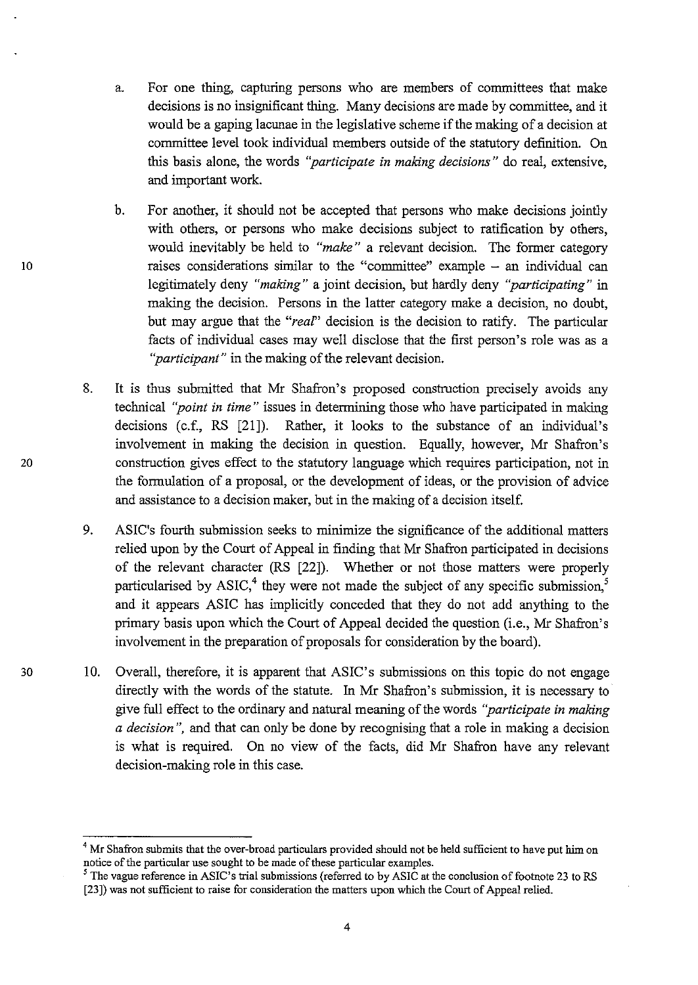- a. For one thing, capturing persons who are members of committees that make decisions is no insignificant thing. Many decisions are made by committee, and it would be a gaping lacunae in the legislative scheme if the making of a decision at committee level took individual members outside of the statutory definition. On this basis alone, the words *''participate in making decisions"* do real, extensive, and important work.
- b. For another, it should not be accepted that persons who make decisions jointly with others, or persons who make decisions subject to ratification by others, would inevitably be held to *"make"* a relevant decision. The former category 10 raises considerations similar to the "committee" example - an individual can legitimately deny *"making"* a joint decision, but hardly deny *''participating''* in making the decision. Persons in the latter category make a decision, no doubt, but may argue that the *"rear'* decision is the decision to ratify. The particular facts of individual cases may well disclose that the first person's role was as a *''participant''* in the making of the relevant decision.
- 8. It is thus submitted that Mr Shafron's proposed construction precisely avoids any technical *''point in time"* issues in determining those who have participated in making decisions (c.f., RS [21]). Rather, it looks to the substance of an individual's involvement in making the decision in question. Equally, however, Mr Shafron's 20 construction gives effect to the statutory language which requires participation, not in the formulation of a proposal, or the development of ideas, or the provision of advice and assistance to a decision maker, but in the making of a decision itself.
	- 9. ASIC's fourth submission seeks to minimize the significance of the additional matters relied upon by the Court of Appeal in finding that Mr Shafron participated in decisions of the relevant character (RS [22D. Whether or not those matters were properly particularised by  $ASIC<sub>1</sub><sup>4</sup>$  they were not made the subject of any specific submission,<sup>5</sup> and it appears ASIC has implicitly conceded that they do not add anything to the primary basis upon which the Court of Appeal decided the question (i.e., Mr Shafron's involvement in the preparation of proposals for consideration by the board).
- 30 10. Overall, therefore, it is apparent that ASIC's submissions on this topic do not engage directly with the words of the statute. In Mr Shafron's submission, it is necessary to give full effect to the ordinary and natural meaning of the words *"participate in making a decision* ", and that can only be done by recognising that a role in making a decision is what is required. On no view of the facts, did Mr Shafron have any relevant decision-making role in this case.

<sup>&</sup>lt;sup>4</sup> Mr Shafron submits that the over-broad particulars provided should not be held sufficient to have put him on notice of the particular use sought to be made of these particular examples.

<sup>&</sup>lt;sup>5</sup>The vague reference in ASIC's trial submissions (referred to by ASIC at the conclusion of footnote 23 to RS [23]) was not sufficient to raise for consideration the matters upon which the Court of Appeal relied.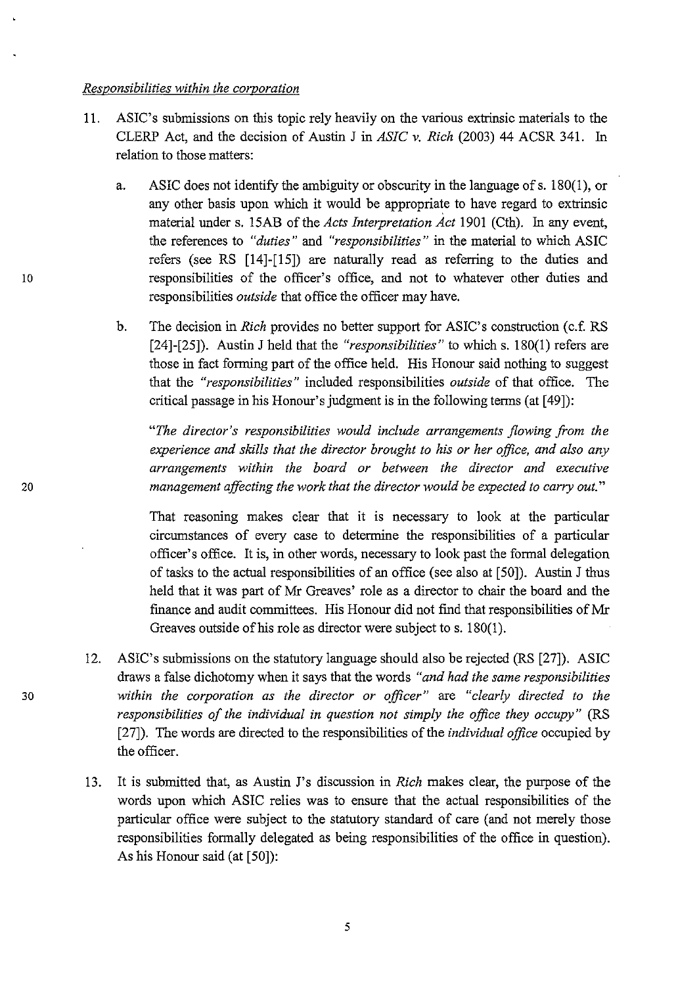#### *Responsibilities within the corporation*

- 11. ASIC's submissions on this topic rely heavily on the various extrinsic materials to the CLERP Act, and the decision of Austin J in *ASIC* v. *Rich* (2003) 44 ACSR 341. In relation to those matters:
- a. ASIC does not identify the ambiguity or obscurity in the language of s. 180(1), or any other basis upon which it would be appropriate to have regard to extrinsic material under s. 15AB of the *Acts Interpretation Act* 1901 (Cth). In any event, the references to *"duties"* and *"responsibilities"* in the material to which ASIC refers (see RS [14]-[15]) are naturally read as referring to the duties and 10 responsibilities of the officer's office, and not to whatever other duties and responsibilities *outside* that office the officer may have.
	- b. The decision in *Rich* provides no better support for ASIC's construction (c.f. RS [24]-[25]). Austin J held that the *"responsibilities"* to which s. 180(1) refers are those in fact forming part of the office held. His Honour said nothing to suggest that the *"responsibilities"* included responsibilities *outside* of that office. The critical passage in his Honour's judgment is in the following terms (at [49]):

*"The director's responsibilities would include arrangements flowing from the experience and skills that the director brought to his or her office, and also any arrangements within the board or between the director and executive management affecting the work that the director would be expected to carry out."* 

That reasoning makes clear that it is necessary to look at the particular circumstances of every case to determine the responsibilities of a particular officer's office. It is, in other words, necessary to look past the formal delegation of tasks to the actual responsibilities of an office (see also at [50]). Austin J thus held that it was part of Mr Greaves' role as a director to chair the board and the finance and audit committees. His Honour did not find that responsibilities of Mr Greaves outside of his role as director were subject to s. 180(1).

- 12. ASIC's submissions on the statutory language should also be rejected (RS [27]). ASIC draws a false dichotomy when it says that the words *"and had the same responsibilities 30 within the corporation as the director or officer"* are *"clearly directed to the responsibilities of the individual in question not simply the office they occupy*" (RS [27]). The words are directed to the responsibilities of the *individual office* occupied by the officer.
	- 13. It is submitted that, as Austin J's discussion in *Rich* makes clear, the purpose of the words upon which ASIC relies was to ensure that the actual responsibilities of the particular office were subject to the statutory standard of care (and not merely those responsibilities fonnally delegated as being responsibilities of the office in question). As his Honour said (at [50]):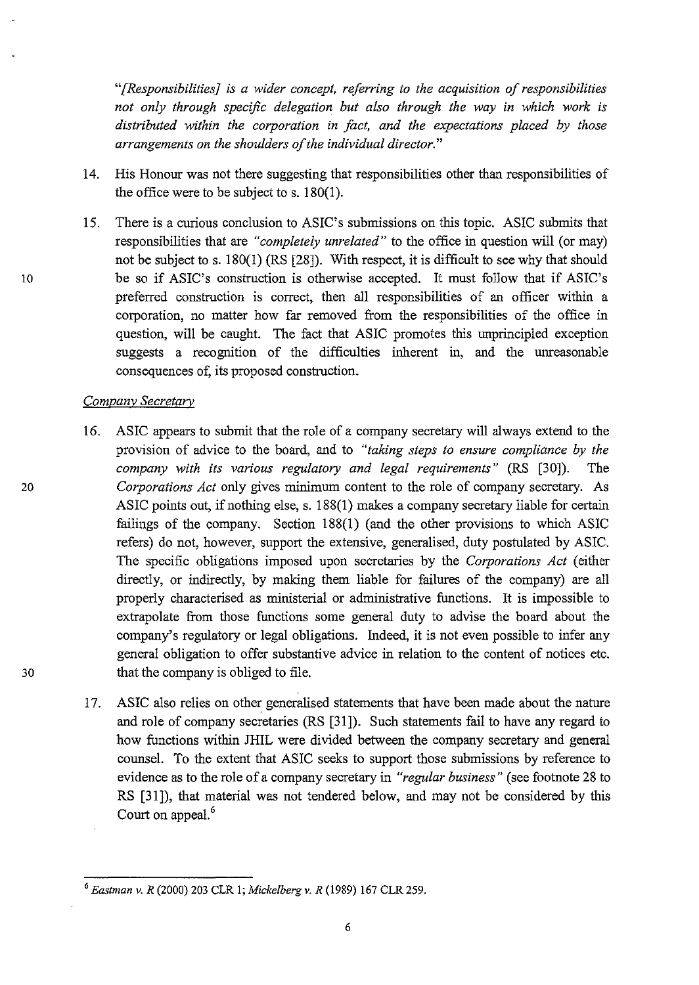*"[Responsibilities} is a wider concept, referring to the acquisition of responsibilities not only through specific delegation but also through the way in which work is distributed within the corporation* in *fact, and the expectations placed by those arrangements on the shoulders of the individual director."* 

- 14. His Honour was not there suggesting that responsibilities other than responsibilities of the office were to be subject to s. 180(1).
- 15. There is a curious conclusion to ASIC's submissions on this topic. ASIC submits that responsibilities that are *"completely unrelated"* to the office in question will (or may) not be subject to s. 180(1) (RS [28]). With respect, it is difficult to see why that should 10 be so if ASIC's construction is otherwise accepted. It must follow that if ASIC's preferred construction is correct, then all responsibilities of an officer within a corporation, no matter how far removed from the responsibilities of the office in question, will be caught. The fact that ASIC promotes this unprincipled exception suggests a recognition of the difficulties inherent in, and the unreasonable consequences of, its proposed construction.

#### *Company Secretary*

- 16. ASIC appears to submit that the role of a company secretary will always extend to the provision of advice to the board, and to *"taking steps to ensure compliance by the company with its various regulatory and legal requirements"* (RS [30]). The 20 *Corporations Act* only gives minimum content to the role of company secretary. As ASIC points out, if nothing else, s. 188(1) makes a company secretary liable for certain failings of the company. Section 188(1) (and the other provisions to which ASIC refers) do not, however, support the extensive, generalised, duty postulated by ASIC. The specific obligations imposed upon secretaries by the *Corporations Act* (either directly, or indirectly, by making them liable for failures of the company) are all properly characterised as ministerial or administrative functions. It is impossible to extrapolate from those functions some general duty to advise the board about the company's regulatory or legal obligations. Indeed, it is not even possible to infer any general obligation to offer substantive advice in relation to the content of notices etc. 30 that the company is obliged to file.
	- 17. ASIC also relies on other generalised statements that have been made about the nature and role of company secretaries (RS [31]). Such statements fail to have any regard to how functions within JHIL were divided between the company secretary and general counsel. To the extent that ASIC seeks to support those submissions by reference to evidence as to the role of a company secretary in *"regular business"* (see footnote 28 to RS [31]), that material was not tendered below, and may not be considered by this Court on appeal.<sup>6</sup>

*<sup>6</sup> Eastman* v. *R* (2000) 203 CLR 1; *Mickelberg* v. *R* (1989) 167 CLR 259.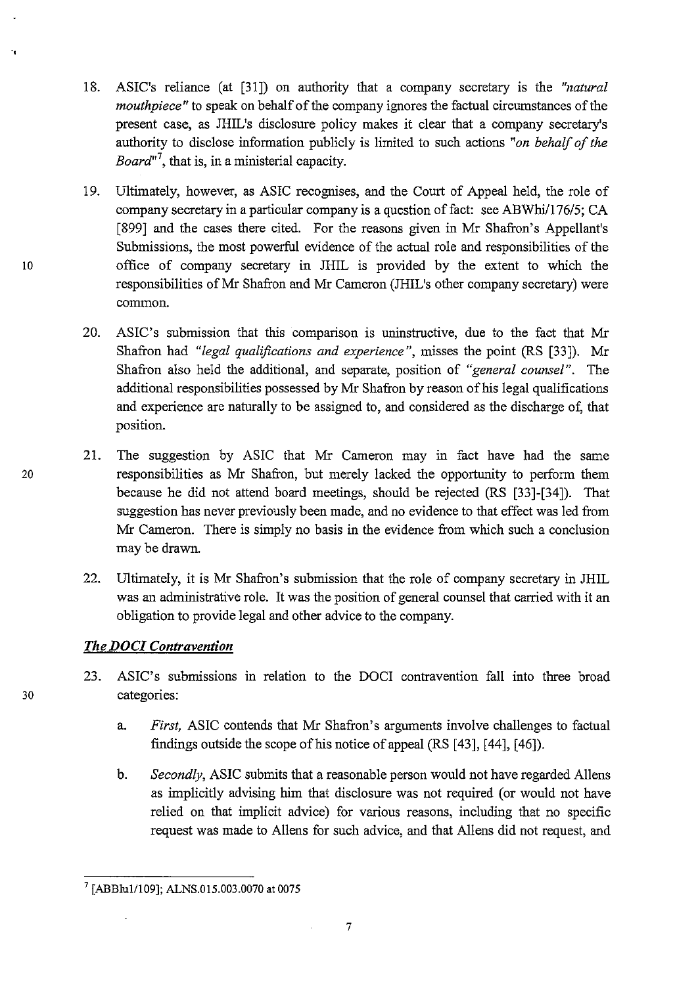- 18. ASIC's reliance (at [31]) on authority that a company secretary is the *"natural mouthpiece"* to speak on behalf of the company ignores the factual circumstances of the present case, as JHIL's disclosure policy makes it clear that a company secretary's authority to disclose information publicly is limited to such actions *"on behalf of the*  Board<sup>"7</sup>, that is, in a ministerial capacity.
- 19. Ultimately, however, as ASIC recognises, and the Court of Appeal held, the role of company secretary in a particular company is a question of fact: see ABWhi $/176/5$ ; CA [899] and the cases there cited. For the reasons given in Mr Shafron's Appellant's Submissions, the most powerful evidence of the actual role and responsibilities of the office of company secretary in JHIL is provided by the extent to which the responsibilities of Mr Shafron and Mr Cameron (JHIL's other company secretary) were common.
- 20. ASIC's submission that this comparison is uninstructive, due to the fact that Mr Shafron had *"legal qualifications and experience",* misses the point (RS [33]). Mr Shafron also held the additional, and separate, position of *"general counsel".* The additional responsibilities possessed by Mr Shafron by reason of his legal qualifications and experience are naturally to be assigned to, and considered as the discharge of, that position.
- 21. The suggestion by ASIC that Mr Cameron may in fact have had the same 20 responsibilities as Mr Shafron, but merely lacked the opportunity to perform them because he did not attend board meetings, should be rejected (RS [33]-[34]). That suggestion has never previously been made, and no evidence to that effect was led from Mr Cameron. There is simply no basis in the evidence from which such a conclusion may be drawn.
	- 22. Ultimately, it is Mr Shafron's submission that the role of company secretary in JHIL was an administrative role. It was the position of general counsel that carried with it an obligation to provide legal and other advice to the company.

## *The DOCI Contravention*

- 23. ASIC's submissions in relation to the DOCI contravention fall into three broad 30 categories:
	- a. *First,* ASIC contends that Mr Shafron's arguments involve challenges to factual findings outside the scope of his notice of appeal (RS [43], [44], [46]).
	- b. *Secondly,* ASIC submits that a reasonable person would not have regarded Aliens as implicitly advising him that disclosure was not required (or would not have relied on that implicit advice) for various reasons, including that no specific request was made to Aliens for such advice, and that Aliens did not request, and

10

.,

<sup>7 [</sup>ABBluIl109]; ALNS.015.003.0070 at 0075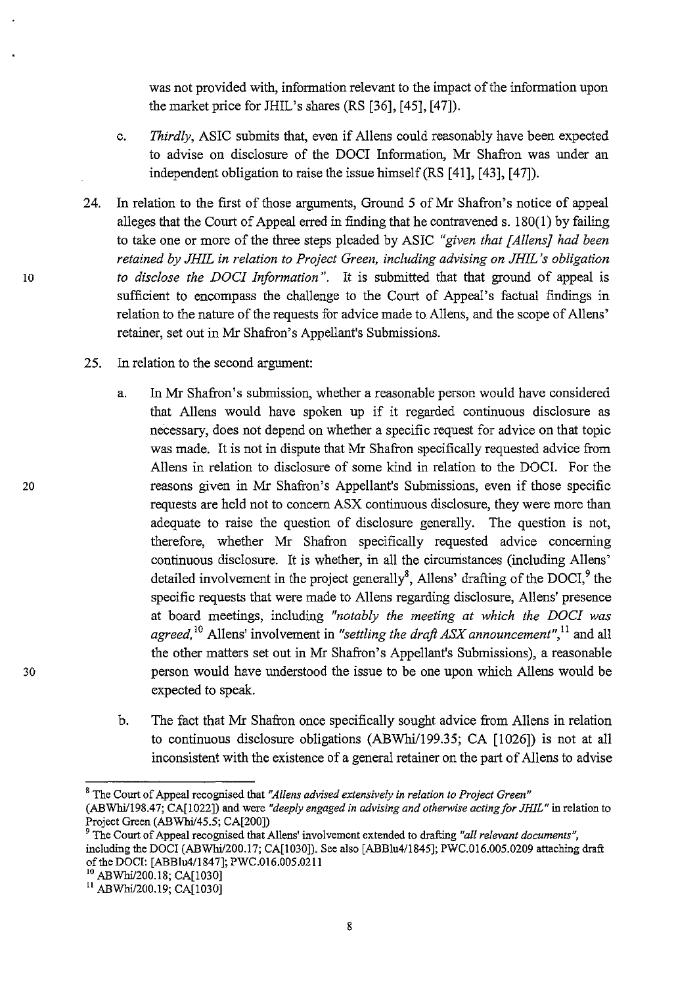was not provided with, information relevant to the impact of the information upon the market price for JHIL's shares (RS [36], [45], [47]).

- c. *Thirdly,* ASIC submits that, even if AlIens could reasonably have been expected to advise on disclosure of the DOCI Information, Mr Shafron was under an independent obligation to raise the issue himself (RS [41], [43], [47]).
- 24. In relation to the first of those arguments, Ground 5 of Mr Shafron's notice of appeal alleges that the Court of Appeal erred in finding that he contravened s. 180(1) by failing to take one or more of the three steps pleaded by ASIC *"given that [AllensJ had been retained by JHIL in relation to Project Green, including advising on JHIL's obligation*  10 *to disclose the DOCI Information".* It is submitted that that ground of appeal is sufficient to encompass the challenge to the Court of Appeal's factual findings in relation to the nature of the requests for advice made to Allens, and the scope of AlIens' retainer, set out in Mr Shafron's Appellant's Submissions.
	- 25. In relation to the second argument:
- a. In Mr Shafron's submission, whether a reasonable person would have considered that Allens would have spoken up if it regarded continuous disclosure as necessary, does not depend on whether a specific request for advice on that topic was made. It is not in dispute that Mr Shafron specifically requested advice from Allens in relation to disclosure of some kind in relation to the DOCI. For the 20 reasons given in Mr Shafron's Appellant's Submissions, even if those specific requests are held not to concern ASX continuous disclosure, they were more than adequate to raise the question of disclosure generally. The question is not, therefore, whether Mr Shafron specifically requested advice concerning continuous disclosure. It is whether, in all the circumstances (including Allens' detailed involvement in the project generally<sup>8</sup>, Allens' drafting of the  $\overline{DOCI}$ ,  $\overline{O}$  the specific requests that were made to Allens regarding disclosure, Allens' presence at board meetings, including *"notably the meeting at which the DOCI was agreed,1O* Allens' involvement in *"settling the draft ASX announcement",* 11 and all the other matters set out in Mr Shafron's Appellant's Submissions), a reasonable 30 person would have understood the issue to be one upon which AlIens would be expected to speak.
	- b. The fact that Mr Shafron once specifically sought advice from Allens in relation to continuous disclosure obligations (ABWhi/199.35; CA [1026]) is not at all inconsistent with the existence of a general retainer on the part of Allens to advise

<sup>8</sup> The Court of Appeal recognised that *"Allens advised extensively in relation to Project Green"* 

<sup>(</sup>ABWhilI98.47; CA[I022]) and were *"deeply engaged in advising and otherwise actingfor JHIL"* in relation to Project Green *(ABWhil4S.5;* CA[200J)

<sup>9</sup> The Court of Appeal recognised that AlIens' involvement extended to drafting *"all relevant documents",*  including the DOCI (ABWhi/200.17; CA[1030]). See also [ABBlu4/1845]; PWC.016.005.0209 attaching draft of the DOC!: [ABBlu41l847]; PWC.016.00S.0211

<sup>10</sup> ABWhil200.18; CA[1030]

<sup>&</sup>lt;sup>11</sup> ABWhi/200.19; CA[1030]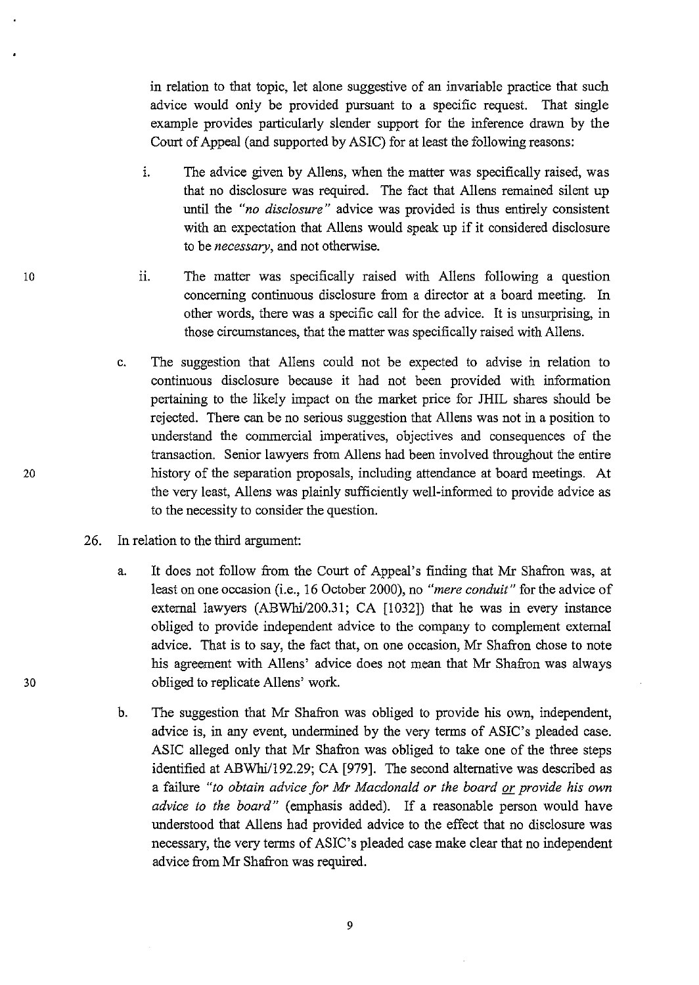in relation to that topic, let alone suggestive of an invariable practice that such advice would only be provided pursuant to a specific request. That single example provides particularly slender support for the inference drawn by the Court of Appeal (and supported by ASIC) for at least the following reasons:

- 1. The advice given by Allens, when the matter was specifically raised, was that no disclosure was required. The fact that Aliens remained silent up until the *"no disclosure"* advice was provided is thus entirely consistent with an expectation that Allens would speak up if it considered disclosure to be *necessary,* and not otherwise.
- ii. The matter was specifically raised with Allens following a question concerning continuous disclosure from a director at a board meeting. In other words, there was a specific call for the advice. It is unsurprising, in those circumstances, that the matter was specifically raised with Allens.
- c. The suggestion that Allens could not be expected to advise in relation to continuous disclosure because it had not been provided with information pertaining to the likely impact on the market price for JHIL shares should be rejected. There can be no serious suggestion that Allens was not in a position to understand the commercial imperatives, objectives and consequences of the transaction. Senior lawyers from Aliens had been involved throughout the entire 20 history of the separation proposals, including attendance at board meetings. At the very least, Aliens was plainly sufficiently well-informed to provide advice as to the necessity to consider the question.
	- 26. In relation to the third argument:
		- a. It does not follow from the Court of Appeal's finding that Mr Shafron was, at least on one occasion (i.e., 16 October 2000), no *"mere conduit"* for the advice of external lawyers (ABWhi/200.31; CA [1032]) that he was in every instance obliged to provide independent advice to the company to complement external advice. That is to say, the fact that, on one occasion, Mr Shafron chose to note his agreement with Allens' advice does not mean that Mr Shafron was always obliged to replicate Aliens' work.
		- b. The suggestion that Mr Shafron was obliged to provide his own, independent, advice is, in any event, undermined by the very terms of ASIC's pleaded case. ASIC alleged only that Mr Shafron was obliged to take one of the three steps identified at ABWhi/192.29; CA [979]. The second alternative was described as a failure *"to obtain advice for Mr Macdonald or the board or provide his own advice to the board"* (emphasis added). If a reasonable person would have understood that Allens had provided advice to the effect that no disclosure was necessary, the very terms of ASIC's pleaded case make clear that no independent advice from Mr Shafron was required.